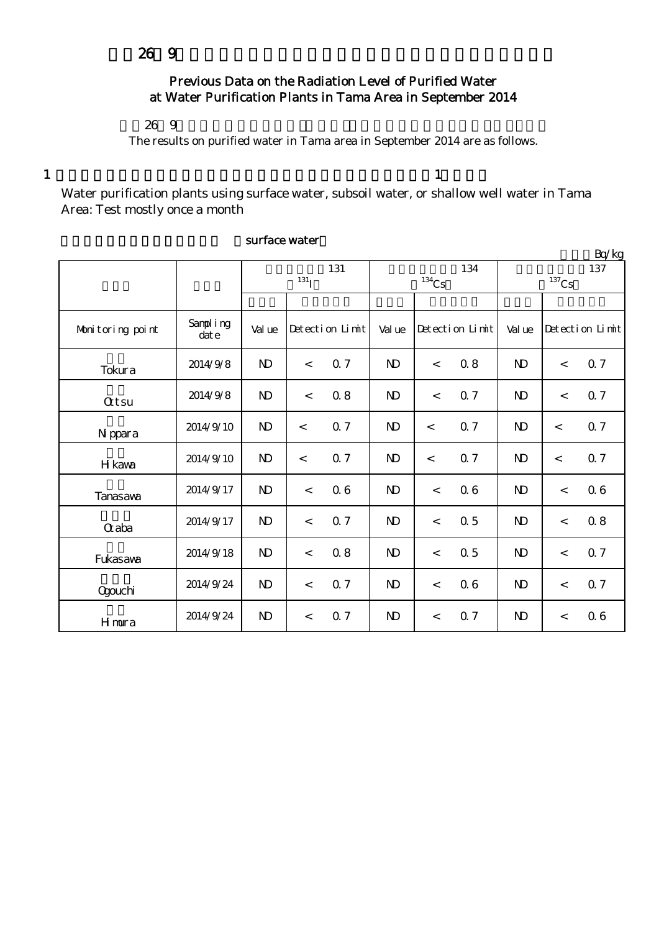## Previous Data on the Radiation Level of Purified Water at Water Purification Plants in Tama Area in September 2014

## $269$

The results on purified water in Tama area in September 2014 are as follows.

 $1$  , and the set of the set of the set of the set of the set of the set of the set of the set of the set of the set of the set of the set of the set of the set of the set of the set of the set of the set of the set of th

Water purification plants using surface water, subsoil water, or shallow well water in Tama Area: Test mostly once a month

| Bq/gg            |                  |                   |                          |                 |              |                          |                 |                 |         |                 |
|------------------|------------------|-------------------|--------------------------|-----------------|--------------|--------------------------|-----------------|-----------------|---------|-----------------|
|                  |                  | 131<br>$^{131}$ I |                          |                 |              | $134$ Cs                 | 134             | 137<br>$137$ Cs |         |                 |
|                  |                  |                   |                          |                 |              |                          |                 |                 |         |                 |
| Monitoring point | Sampling<br>date | Val ue            |                          | Detection Limit | Val ue       |                          | Detection Limit | Val ue          |         | Detection Limit |
| Tokura           | 2014/9/8         | $\mathbf{D}$      | $\,<$                    | 0.7             | $\mathbf{D}$ | $\prec$                  | 0.8             | $\mathbf{D}$    | $\lt$   | 0.7             |
| <b>Qtsu</b>      | 2014/9/8         | $\mathbf{D}$      | $\,<\,$                  | 0.8             | $\mathbf{D}$ | $\overline{\phantom{a}}$ | 0.7             | $\mathbf{D}$    | $\lt$   | 0.7             |
| N ppara          | 2014/9/10        | $\mathbf{D}$      | $\lt$                    | 0.7             | $\mathbf{D}$ | $\lt$                    | 0.7             | $\mathbf{D}$    | $\prec$ | 0.7             |
| H kawa           | 2014/9/10        | $\mathbf{D}$      | $\overline{\phantom{0}}$ | 0.7             | $\mathbf{D}$ | $\prec$                  | 0.7             | $\mathbf{D}$    | $\prec$ | 0.7             |
| <b>Tanasava</b>  | 2014/9/17        | $\mathbf{D}$      | $\,<\,$                  | 06              | $\mathbf{D}$ | $\lt$                    | 06              | $\mathbf{N}$    | $\lt$   | 06              |
| Craba            | 2014/9/17        | $\mathbf{N}$      | $\lt$                    | 0.7             | $\mathbf{D}$ | $\,<$                    | 0.5             | N <sub>D</sub>  | $\,<$   | 08              |
| Fukasawa         | 2014/9/18        | $\mathbf{D}$      | $\prec$                  | 0.8             | $\mathbf{D}$ | $\,<$                    | 0.5             | $\mathbf{D}$    | $\,<$   | 0.7             |
| <b>Ogouchi</b>   | 2014/9/24        | $\mathbf{D}$      | $\prec$                  | 0.7             | $\mathbf{D}$ | $\lt$                    | 06              | $\mathbf{N}$    | $\,<$   | 0.7             |
| Hmura            | 2014/9/24        | $\mathbf{D}$      | $\,<$                    | 0.7             | $\mathbf{D}$ | $\,<$                    | 0.7             | $\mathbf{D}$    | $\,<$   | 06              |

## surface water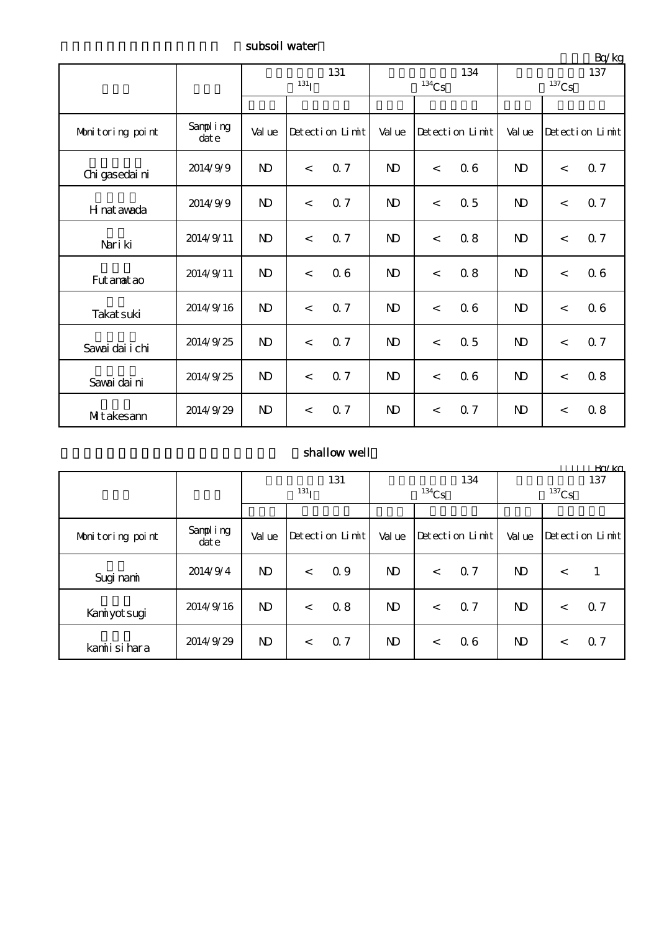subsoil water

|                  |                  | 131<br>$^{131}$ I |                          |     |              | $^{134}\mathrm{Cs}$ | 134 | —∽~<br>137<br>$^{137}\mathrm{Cs}$ |                 |                |
|------------------|------------------|-------------------|--------------------------|-----|--------------|---------------------|-----|-----------------------------------|-----------------|----------------|
|                  |                  |                   |                          |     |              |                     |     |                                   |                 |                |
| Monitoring point | Sampling<br>date | Val ue            | Detection Limit          |     | Value        | Detection Limit     |     | Val ue                            | Detection Limit |                |
| Chi gasedai ni   | 2014/9/9         | $\mathbf{N}$      | $\lt$                    | 0.7 | $\mathbf{N}$ | $\prec$             | 06  | $\mathbf{D}$                      | $\prec$         | Q 7            |
| H nat awada      | 2014/9/9         | $\mathbf{D}$      | $\lt$                    | 0.7 | $\mathbf{D}$ | $\,<$               | 0.5 | N <sub>D</sub>                    | $\lt$           | Q <sub>7</sub> |
| Nari ki          | 2014/9/11        | $\mathbf{N}$      | $\lt$                    | 0.7 | $\mathbf{D}$ | $\lt$               | 0.8 | N <sub>D</sub>                    | $\,<$           | 0.7            |
| Fut anat ao      | 2014/9/11        | $\mathbf{D}$      | $\overline{\phantom{a}}$ | 06  | $\mathbf{D}$ | $\,<$               | 0.8 | N <sub>D</sub>                    | $\prec$         | 06             |
| Takat suki       | 2014/9/16        | $\mathbf{N}$      | $\prec$                  | 0.7 | $\mathbf{D}$ | $\prec$             | 06  | $\mathbf{N}$                      | $\lt$           | 06             |
| Savai dai i chi  | 2014/9/25        | $\mathbf{N}$      | $\lt$                    | 0.7 | $\mathbf{N}$ | $\prec$             | 0.5 | $\mathbf{D}$                      | $\lt$           | 0.7            |
| Savai dai ni     | 2014/9/25        | $\mathbf{D}$      | $\lt$                    | 0.7 | $\mathbf{D}$ | $\prec$             | 06  | $\mathbf{D}$                      | $\lt$           | 0.8            |
| MIt akesann      | 2014/9/29        | $\mathbf{D}$      | $\lt$                    | 0.7 | $\mathbf{D}$ | $\prec$             | 0.7 | N <sub>D</sub>                    | $\prec$         | 08             |

## shallow well

|                  |                      |              |       |                 |              |          |                 |                     |         | Rn/kg                |  |
|------------------|----------------------|--------------|-------|-----------------|--------------|----------|-----------------|---------------------|---------|----------------------|--|
|                  |                      | 131          |       |                 | 134          |          |                 | 137                 |         |                      |  |
|                  |                      | $^{131}$ T   |       |                 |              | $134$ Cs |                 | $^{137}\mathrm{Cs}$ |         |                      |  |
|                  |                      |              |       |                 |              |          |                 |                     |         |                      |  |
| Monitoring point | Sampling<br>$\det e$ | Val ue       |       | Detection Limit | Val ue       |          | Detection Limit | Val ue              |         | $Detecti$ on $Limit$ |  |
| Sugi nami        | 2014/9/4             | $\mathbf{D}$ | $\lt$ | 0.9             | $\mathbf{N}$ | $\lt$    | 0.7             | $\mathbf{D}$        | $\,<\,$ |                      |  |
| Kaniyot sugi     | 2014/9/16            | $\mathbf{D}$ | $\lt$ | 0.8             | $\mathbf{D}$ | $\,<\,$  | 0.7             | $\mathbf{D}$        | $\,<\,$ | 0.7                  |  |
| kamiisi hara     | 2014/9/29            | $\mathbf{D}$ | $\lt$ | Q <sub>7</sub>  | ND.          | $\lt$    | 06              | $\mathbf{D}$        | $\lt$   | Q <sub>7</sub>       |  |

 $Br/kg$